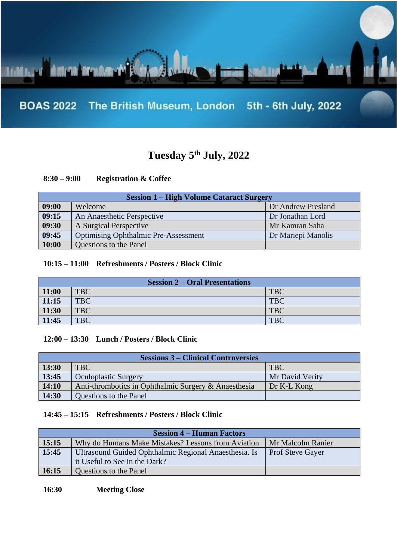

# **Tuesday 5th July, 2022**

## **8:30 – 9:00 Registration & Coffee**

| <b>Session 1 – High Volume Cataract Surgery</b> |                                             |                    |
|-------------------------------------------------|---------------------------------------------|--------------------|
| 09:00                                           | Welcome                                     | Dr Andrew Presland |
| 09:15                                           | An Anaesthetic Perspective                  | Dr Jonathan Lord   |
| 09:30                                           | A Surgical Perspective                      | Mr Kamran Saha     |
| 09:45                                           | <b>Optimising Ophthalmic Pre-Assessment</b> | Dr Mariepi Manolis |
| 10:00                                           | Questions to the Panel                      |                    |

### **10:15 – 11:00 Refreshments / Posters / Block Clinic**

| <b>Session 2 – Oral Presentations</b> |            |            |
|---------------------------------------|------------|------------|
| 11:00                                 | <b>TBC</b> | <b>TBC</b> |
| 11:15                                 | TBC        | <b>TBC</b> |
| 11:30                                 | TBC        | <b>TBC</b> |
| 11:45                                 | <b>TBC</b> | <b>TBC</b> |

#### **12:00 – 13:30 Lunch / Posters / Block Clinic**

| <b>Sessions 3 – Clinical Controversies</b> |                                                      |                 |
|--------------------------------------------|------------------------------------------------------|-----------------|
| 13:30                                      | <b>TBC</b>                                           | <b>TBC</b>      |
| 13:45                                      | <b>Oculoplastic Surgery</b>                          | Mr David Verity |
| 14:10                                      | Anti-thrombotics in Ophthalmic Surgery & Anaesthesia | Dr K-L Kong     |
| 14:30                                      | Questions to the Panel                               |                 |

### **14:45 – 15:15 Refreshments / Posters / Block Clinic**

| <b>Session 4 – Human Factors</b> |                                                       |                         |
|----------------------------------|-------------------------------------------------------|-------------------------|
| 15:15                            | Why do Humans Make Mistakes? Lessons from Aviation    | Mr Malcolm Ranier       |
| 15:45                            | Ultrasound Guided Ophthalmic Regional Anaesthesia. Is | <b>Prof Steve Gayer</b> |
|                                  | it Useful to See in the Dark?                         |                         |
| 16:15                            | Questions to the Panel                                |                         |

**16:30 Meeting Close**